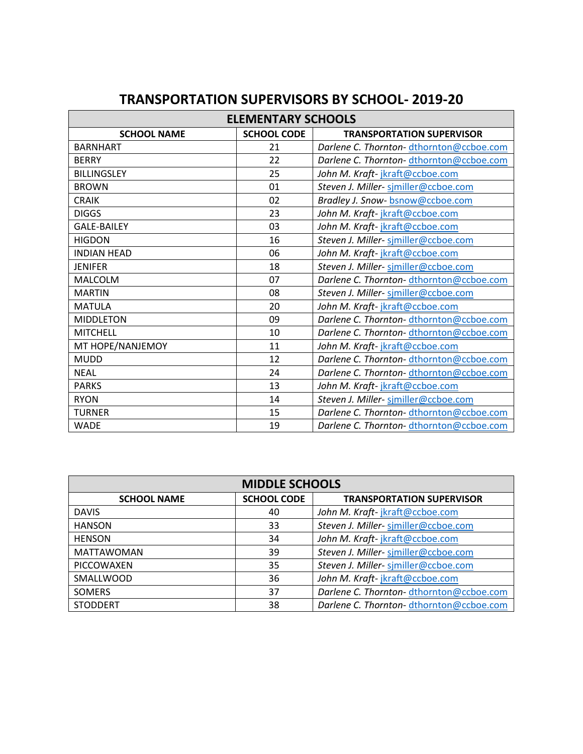| <b>ELEMENTARY SCHOOLS</b> |                    |                                         |
|---------------------------|--------------------|-----------------------------------------|
| <b>SCHOOL NAME</b>        | <b>SCHOOL CODE</b> | <b>TRANSPORTATION SUPERVISOR</b>        |
| <b>BARNHART</b>           | 21                 | Darlene C. Thornton-dthornton@ccboe.com |
| <b>BERRY</b>              | 22                 | Darlene C. Thornton-dthornton@ccboe.com |
| <b>BILLINGSLEY</b>        | 25                 | John M. Kraft-jkraft@ccboe.com          |
| <b>BROWN</b>              | 01                 | Steven J. Miller- similler@ccboe.com    |
| <b>CRAIK</b>              | 02                 | Bradley J. Snow-bsnow@ccboe.com         |
| <b>DIGGS</b>              | 23                 | John M. Kraft-jkraft@ccboe.com          |
| <b>GALE-BAILEY</b>        | 03                 | John M. Kraft-jkraft@ccboe.com          |
| <b>HIGDON</b>             | 16                 | Steven J. Miller- similler@ccboe.com    |
| <b>INDIAN HEAD</b>        | 06                 | John M. Kraft-jkraft@ccboe.com          |
| <b>JENIFER</b>            | 18                 | Steven J. Miller- similler@ccboe.com    |
| MALCOLM                   | 07                 | Darlene C. Thornton-dthornton@ccboe.com |
| <b>MARTIN</b>             | 08                 | Steven J. Miller- similler@ccboe.com    |
| <b>MATULA</b>             | 20                 | John M. Kraft-jkraft@ccboe.com          |
| <b>MIDDLETON</b>          | 09                 | Darlene C. Thornton-dthornton@ccboe.com |
| <b>MITCHELL</b>           | 10                 | Darlene C. Thornton-dthornton@ccboe.com |
| MT HOPE/NANJEMOY          | 11                 | John M. Kraft-jkraft@ccboe.com          |
| <b>MUDD</b>               | 12                 | Darlene C. Thornton-dthornton@ccboe.com |
| <b>NEAL</b>               | 24                 | Darlene C. Thornton-dthornton@ccboe.com |
| <b>PARKS</b>              | 13                 | John M. Kraft-jkraft@ccboe.com          |
| <b>RYON</b>               | 14                 | Steven J. Miller- similler@ccboe.com    |
| <b>TURNER</b>             | 15                 | Darlene C. Thornton-dthornton@ccboe.com |
| <b>WADE</b>               | 19                 | Darlene C. Thornton-dthornton@ccboe.com |

## **TRANSPORTATION SUPERVISORS BY SCHOOL- 2019-20**

| <b>MIDDLE SCHOOLS</b> |                    |                                         |
|-----------------------|--------------------|-----------------------------------------|
| <b>SCHOOL NAME</b>    | <b>SCHOOL CODE</b> | <b>TRANSPORTATION SUPERVISOR</b>        |
| <b>DAVIS</b>          | 40                 | John M. Kraft-jkraft@ccboe.com          |
| <b>HANSON</b>         | 33                 | Steven J. Miller- sjmiller@ccboe.com    |
| <b>HENSON</b>         | 34                 | John M. Kraft-jkraft@ccboe.com          |
| <b>MATTAWOMAN</b>     | 39                 | Steven J. Miller- sjmiller@ccboe.com    |
| PICCOWAXEN            | 35                 | Steven J. Miller-similler@ccboe.com     |
| SMALLWOOD             | 36                 | John M. Kraft-jkraft@ccboe.com          |
| <b>SOMERS</b>         | 37                 | Darlene C. Thornton-dthornton@ccboe.com |
| <b>STODDERT</b>       | 38                 | Darlene C. Thornton-dthornton@ccboe.com |